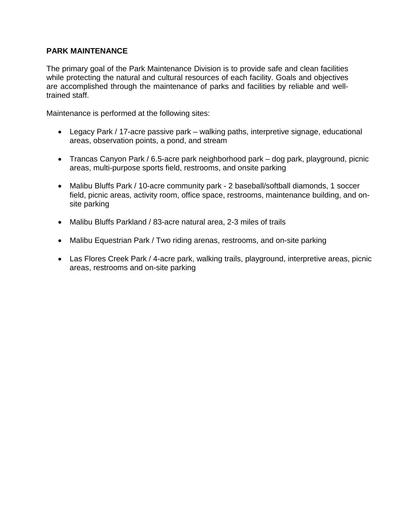# **PARK MAINTENANCE**

The primary goal of the Park Maintenance Division is to provide safe and clean facilities while protecting the natural and cultural resources of each facility. Goals and objectives are accomplished through the maintenance of parks and facilities by reliable and welltrained staff.

Maintenance is performed at the following sites:

- Legacy Park / 17-acre passive park walking paths, interpretive signage, educational areas, observation points, a pond, and stream
- Trancas Canyon Park / 6.5-acre park neighborhood park dog park, playground, picnic areas, multi-purpose sports field, restrooms, and onsite parking
- Malibu Bluffs Park / 10-acre community park 2 baseball/softball diamonds, 1 soccer field, picnic areas, activity room, office space, restrooms, maintenance building, and onsite parking
- Malibu Bluffs Parkland / 83-acre natural area, 2-3 miles of trails
- Malibu Equestrian Park / Two riding arenas, restrooms, and on-site parking
- Las Flores Creek Park / 4-acre park, walking trails, playground, interpretive areas, picnic areas, restrooms and on-site parking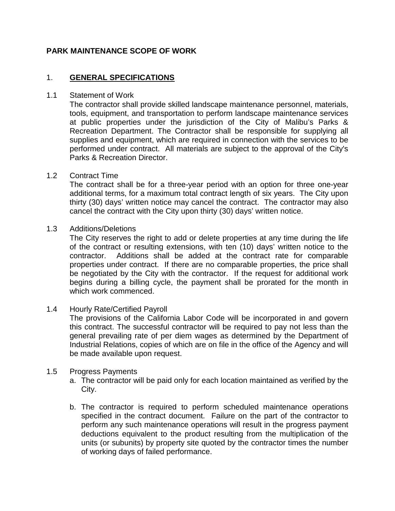# **PARK MAINTENANCE SCOPE OF WORK**

# 1. **GENERAL SPECIFICATIONS**

#### 1.1 Statement of Work

The contractor shall provide skilled landscape maintenance personnel, materials, tools, equipment, and transportation to perform landscape maintenance services at public properties under the jurisdiction of the City of Malibu's Parks & Recreation Department. The Contractor shall be responsible for supplying all supplies and equipment, which are required in connection with the services to be performed under contract. All materials are subject to the approval of the City's Parks & Recreation Director.

## 1.2 Contract Time

The contract shall be for a three-year period with an option for three one-year additional terms, for a maximum total contract length of six years. The City upon thirty (30) days' written notice may cancel the contract. The contractor may also cancel the contract with the City upon thirty (30) days' written notice.

## 1.3 Additions/Deletions

The City reserves the right to add or delete properties at any time during the life of the contract or resulting extensions, with ten (10) days' written notice to the contractor. Additions shall be added at the contract rate for comparable properties under contract. If there are no comparable properties, the price shall be negotiated by the City with the contractor. If the request for additional work begins during a billing cycle, the payment shall be prorated for the month in which work commenced.

#### 1.4 Hourly Rate/Certified Payroll

The provisions of the California Labor Code will be incorporated in and govern this contract. The successful contractor will be required to pay not less than the general prevailing rate of per diem wages as determined by the Department of Industrial Relations, copies of which are on file in the office of the Agency and will be made available upon request.

#### 1.5 Progress Payments

- a. The contractor will be paid only for each location maintained as verified by the City.
- b. The contractor is required to perform scheduled maintenance operations specified in the contract document. Failure on the part of the contractor to perform any such maintenance operations will result in the progress payment deductions equivalent to the product resulting from the multiplication of the units (or subunits) by property site quoted by the contractor times the number of working days of failed performance.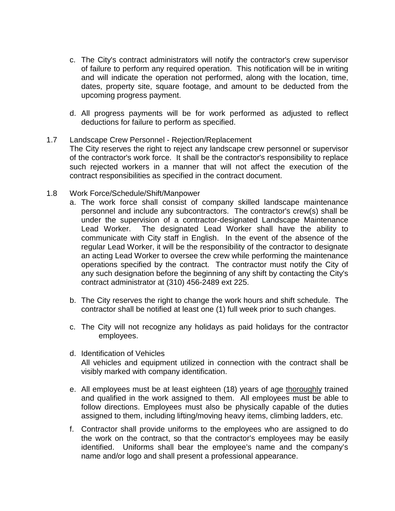- c. The City's contract administrators will notify the contractor's crew supervisor of failure to perform any required operation. This notification will be in writing and will indicate the operation not performed, along with the location, time, dates, property site, square footage, and amount to be deducted from the upcoming progress payment.
- d. All progress payments will be for work performed as adjusted to reflect deductions for failure to perform as specified.
- 1.7 Landscape Crew Personnel Rejection/Replacement The City reserves the right to reject any landscape crew personnel or supervisor of the contractor's work force. It shall be the contractor's responsibility to replace such rejected workers in a manner that will not affect the execution of the contract responsibilities as specified in the contract document.
- 1.8 Work Force/Schedule/Shift/Manpower
	- a. The work force shall consist of company skilled landscape maintenance personnel and include any subcontractors. The contractor's crew(s) shall be under the supervision of a contractor-designated Landscape Maintenance Lead Worker. The designated Lead Worker shall have the ability to communicate with City staff in English. In the event of the absence of the regular Lead Worker, it will be the responsibility of the contractor to designate an acting Lead Worker to oversee the crew while performing the maintenance operations specified by the contract. The contractor must notify the City of any such designation before the beginning of any shift by contacting the City's contract administrator at (310) 456-2489 ext 225.
	- b. The City reserves the right to change the work hours and shift schedule. The contractor shall be notified at least one (1) full week prior to such changes.
	- c. The City will not recognize any holidays as paid holidays for the contractor employees.
	- d. Identification of Vehicles All vehicles and equipment utilized in connection with the contract shall be visibly marked with company identification.
	- e. All employees must be at least eighteen (18) years of age thoroughly trained and qualified in the work assigned to them. All employees must be able to follow directions. Employees must also be physically capable of the duties assigned to them, including lifting/moving heavy items, climbing ladders, etc.
	- f. Contractor shall provide uniforms to the employees who are assigned to do the work on the contract, so that the contractor's employees may be easily identified. Uniforms shall bear the employee's name and the company's name and/or logo and shall present a professional appearance.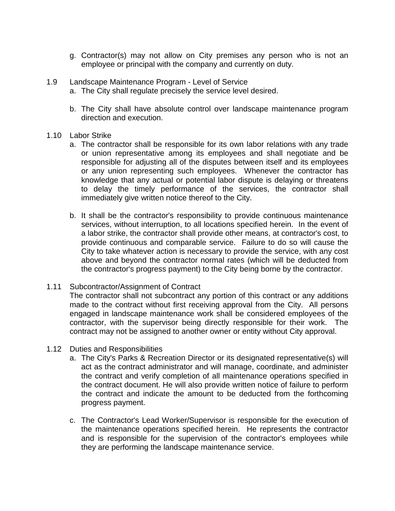- g. Contractor(s) may not allow on City premises any person who is not an employee or principal with the company and currently on duty.
- 1.9 Landscape Maintenance Program Level of Service
	- a. The City shall regulate precisely the service level desired.
	- b. The City shall have absolute control over landscape maintenance program direction and execution.
- 1.10 Labor Strike
	- a. The contractor shall be responsible for its own labor relations with any trade or union representative among its employees and shall negotiate and be responsible for adjusting all of the disputes between itself and its employees or any union representing such employees. Whenever the contractor has knowledge that any actual or potential labor dispute is delaying or threatens to delay the timely performance of the services, the contractor shall immediately give written notice thereof to the City.
	- b. It shall be the contractor's responsibility to provide continuous maintenance services, without interruption, to all locations specified herein. In the event of a labor strike, the contractor shall provide other means, at contractor's cost, to provide continuous and comparable service. Failure to do so will cause the City to take whatever action is necessary to provide the service, with any cost above and beyond the contractor normal rates (which will be deducted from the contractor's progress payment) to the City being borne by the contractor.

## 1.11 Subcontractor/Assignment of Contract

The contractor shall not subcontract any portion of this contract or any additions made to the contract without first receiving approval from the City. All persons engaged in landscape maintenance work shall be considered employees of the contractor, with the supervisor being directly responsible for their work. The contract may not be assigned to another owner or entity without City approval.

- 1.12 Duties and Responsibilities
	- a. The City's Parks & Recreation Director or its designated representative(s) will act as the contract administrator and will manage, coordinate, and administer the contract and verify completion of all maintenance operations specified in the contract document. He will also provide written notice of failure to perform the contract and indicate the amount to be deducted from the forthcoming progress payment.
	- c. The Contractor's Lead Worker/Supervisor is responsible for the execution of the maintenance operations specified herein. He represents the contractor and is responsible for the supervision of the contractor's employees while they are performing the landscape maintenance service.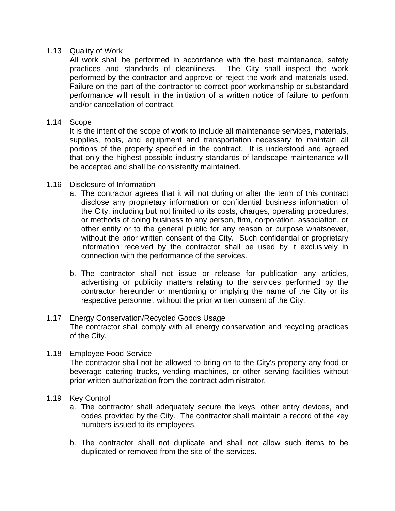## 1.13 Quality of Work

All work shall be performed in accordance with the best maintenance, safety practices and standards of cleanliness. The City shall inspect the work performed by the contractor and approve or reject the work and materials used. Failure on the part of the contractor to correct poor workmanship or substandard performance will result in the initiation of a written notice of failure to perform and/or cancellation of contract.

## 1.14 Scope

It is the intent of the scope of work to include all maintenance services, materials, supplies, tools, and equipment and transportation necessary to maintain all portions of the property specified in the contract. It is understood and agreed that only the highest possible industry standards of landscape maintenance will be accepted and shall be consistently maintained.

## 1.16 Disclosure of Information

- a. The contractor agrees that it will not during or after the term of this contract disclose any proprietary information or confidential business information of the City, including but not limited to its costs, charges, operating procedures, or methods of doing business to any person, firm, corporation, association, or other entity or to the general public for any reason or purpose whatsoever, without the prior written consent of the City. Such confidential or proprietary information received by the contractor shall be used by it exclusively in connection with the performance of the services.
- b. The contractor shall not issue or release for publication any articles, advertising or publicity matters relating to the services performed by the contractor hereunder or mentioning or implying the name of the City or its respective personnel, without the prior written consent of the City.

## 1.17 Energy Conservation/Recycled Goods Usage The contractor shall comply with all energy conservation and recycling practices of the City.

- 1.18 Employee Food Service The contractor shall not be allowed to bring on to the City's property any food or beverage catering trucks, vending machines, or other serving facilities without prior written authorization from the contract administrator.
- 1.19 Key Control
	- a. The contractor shall adequately secure the keys, other entry devices, and codes provided by the City. The contractor shall maintain a record of the key numbers issued to its employees.
	- b. The contractor shall not duplicate and shall not allow such items to be duplicated or removed from the site of the services.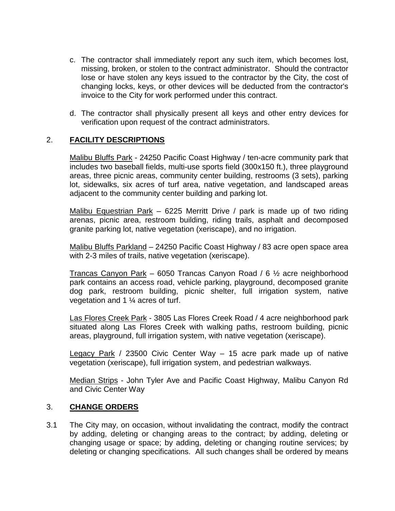- c. The contractor shall immediately report any such item, which becomes lost, missing, broken, or stolen to the contract administrator. Should the contractor lose or have stolen any keys issued to the contractor by the City, the cost of changing locks, keys, or other devices will be deducted from the contractor's invoice to the City for work performed under this contract.
- d. The contractor shall physically present all keys and other entry devices for verification upon request of the contract administrators.

# 2. **FACILITY DESCRIPTIONS**

Malibu Bluffs Park - 24250 Pacific Coast Highway / ten-acre community park that includes two baseball fields, multi-use sports field (300x150 ft.), three playground areas, three picnic areas, community center building, restrooms (3 sets), parking lot, sidewalks, six acres of turf area, native vegetation, and landscaped areas adjacent to the community center building and parking lot.

Malibu Equestrian Park - 6225 Merritt Drive / park is made up of two riding arenas, picnic area, restroom building, riding trails, asphalt and decomposed granite parking lot, native vegetation (xeriscape), and no irrigation.

Malibu Bluffs Parkland – 24250 Pacific Coast Highway / 83 acre open space area with 2-3 miles of trails, native vegetation (xeriscape).

Trancas Canyon Park – 6050 Trancas Canyon Road / 6 ½ acre neighborhood park contains an access road, vehicle parking, playground, decomposed granite dog park, restroom building, picnic shelter, full irrigation system, native vegetation and 1 ¼ acres of turf.

Las Flores Creek Park - 3805 Las Flores Creek Road / 4 acre neighborhood park situated along Las Flores Creek with walking paths, restroom building, picnic areas, playground, full irrigation system, with native vegetation (xeriscape).

Legacy Park / 23500 Civic Center Way - 15 acre park made up of native vegetation (xeriscape), full irrigation system, and pedestrian walkways.

Median Strips - John Tyler Ave and Pacific Coast Highway, Malibu Canyon Rd and Civic Center Way

## 3. **CHANGE ORDERS**

3.1 The City may, on occasion, without invalidating the contract, modify the contract by adding, deleting or changing areas to the contract; by adding, deleting or changing usage or space; by adding, deleting or changing routine services; by deleting or changing specifications. All such changes shall be ordered by means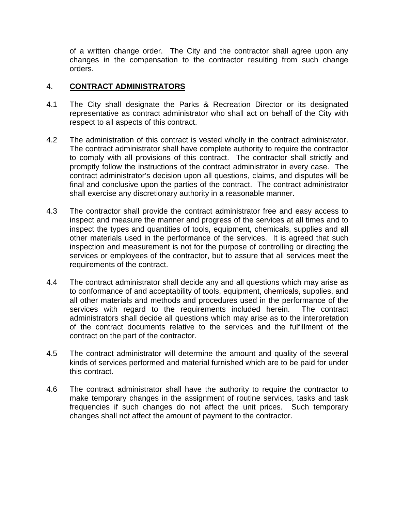of a written change order. The City and the contractor shall agree upon any changes in the compensation to the contractor resulting from such change orders.

# 4. **CONTRACT ADMINISTRATORS**

- 4.1 The City shall designate the Parks & Recreation Director or its designated representative as contract administrator who shall act on behalf of the City with respect to all aspects of this contract.
- 4.2 The administration of this contract is vested wholly in the contract administrator. The contract administrator shall have complete authority to require the contractor to comply with all provisions of this contract. The contractor shall strictly and promptly follow the instructions of the contract administrator in every case. The contract administrator's decision upon all questions, claims, and disputes will be final and conclusive upon the parties of the contract. The contract administrator shall exercise any discretionary authority in a reasonable manner.
- 4.3 The contractor shall provide the contract administrator free and easy access to inspect and measure the manner and progress of the services at all times and to inspect the types and quantities of tools, equipment, chemicals, supplies and all other materials used in the performance of the services. It is agreed that such inspection and measurement is not for the purpose of controlling or directing the services or employees of the contractor, but to assure that all services meet the requirements of the contract.
- 4.4 The contract administrator shall decide any and all questions which may arise as to conformance of and acceptability of tools, equipment, chemicals, supplies, and all other materials and methods and procedures used in the performance of the services with regard to the requirements included herein. The contract administrators shall decide all questions which may arise as to the interpretation of the contract documents relative to the services and the fulfillment of the contract on the part of the contractor.
- 4.5 The contract administrator will determine the amount and quality of the several kinds of services performed and material furnished which are to be paid for under this contract.
- 4.6 The contract administrator shall have the authority to require the contractor to make temporary changes in the assignment of routine services, tasks and task frequencies if such changes do not affect the unit prices. Such temporary changes shall not affect the amount of payment to the contractor.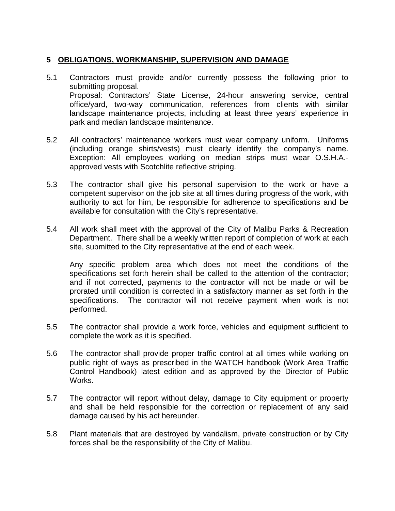# **5 OBLIGATIONS, WORKMANSHIP, SUPERVISION AND DAMAGE**

- 5.1 Contractors must provide and/or currently possess the following prior to submitting proposal. Proposal: Contractors' State License, 24-hour answering service, central office/yard, two-way communication, references from clients with similar landscape maintenance projects, including at least three years' experience in park and median landscape maintenance.
- 5.2 All contractors' maintenance workers must wear company uniform. Uniforms (including orange shirts/vests) must clearly identify the company's name. Exception: All employees working on median strips must wear O.S.H.A. approved vests with Scotchlite reflective striping.
- 5.3 The contractor shall give his personal supervision to the work or have a competent supervisor on the job site at all times during progress of the work, with authority to act for him, be responsible for adherence to specifications and be available for consultation with the City's representative.
- 5.4 All work shall meet with the approval of the City of Malibu Parks & Recreation Department. There shall be a weekly written report of completion of work at each site, submitted to the City representative at the end of each week.

Any specific problem area which does not meet the conditions of the specifications set forth herein shall be called to the attention of the contractor; and if not corrected, payments to the contractor will not be made or will be prorated until condition is corrected in a satisfactory manner as set forth in the specifications. The contractor will not receive payment when work is not performed.

- 5.5 The contractor shall provide a work force, vehicles and equipment sufficient to complete the work as it is specified.
- 5.6 The contractor shall provide proper traffic control at all times while working on public right of ways as prescribed in the WATCH handbook (Work Area Traffic Control Handbook) latest edition and as approved by the Director of Public Works.
- 5.7 The contractor will report without delay, damage to City equipment or property and shall be held responsible for the correction or replacement of any said damage caused by his act hereunder.
- 5.8 Plant materials that are destroyed by vandalism, private construction or by City forces shall be the responsibility of the City of Malibu.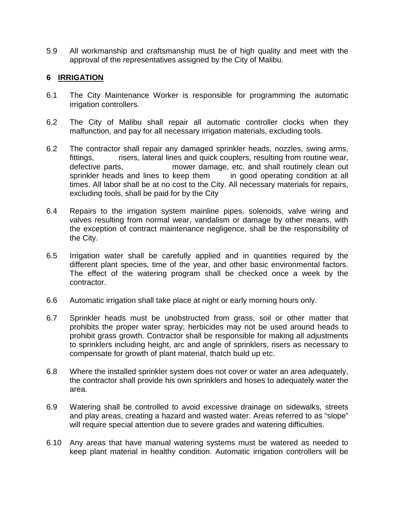5.9 All workmanship and craftsmanship must be of high quality and meet with the approval of the representatives assigned by the City of Malibu.

## **6 IRRIGATION**

- 6.1 The City Maintenance Worker is responsible for programming the automatic irrigation controllers.
- 6.2 The City of Malibu shall repair all automatic controller clocks when they malfunction, and pay for all necessary irrigation materials, excluding tools.
- 6.2 The contractor shall repair any damaged sprinkler heads, nozzles, swing arms, fittings, risers, lateral lines and quick couplers, resulting from routine wear, defective parts, mower damage, etc, and shall routinely clean out sprinkler heads and lines to keep them in good operating condition at all times. All labor shall be at no cost to the City. All necessary materials for repairs, excluding tools, shall be paid for by the City
- 6.4 Repairs to the irrigation system mainline pipes, solenoids, valve wiring and valves resulting from normal wear, vandalism or damage by other means, with the exception of contract maintenance negligence, shall be the responsibility of the City.
- 6.5 Irrigation water shall be carefully applied and in quantities required by the different plant species, time of the year, and other basic environmental factors. The effect of the watering program shall be checked once a week by the contractor.
- 6.6 Automatic irrigation shall take place at night or early morning hours only.
- 6.7 Sprinkler heads must be unobstructed from grass, soil or other matter that prohibits the proper water spray; herbicides may not be used around heads to prohibit grass growth. Contractor shall be responsible for making all adjustments to sprinklers including height, arc and angle of sprinklers, risers as necessary to compensate for growth of plant material, thatch build up etc.
- 6.8 Where the installed sprinkler system does not cover or water an area adequately, the contractor shall provide his own sprinklers and hoses to adequately water the area.
- 6.9 Watering shall be controlled to avoid excessive drainage on sidewalks, streets and play areas, creating a hazard and wasted water. Areas referred to as "slope" will require special attention due to severe grades and watering difficulties.
- 6.10 Any areas that have manual watering systems must be watered as needed to keep plant material in healthy condition. Automatic irrigation controllers will be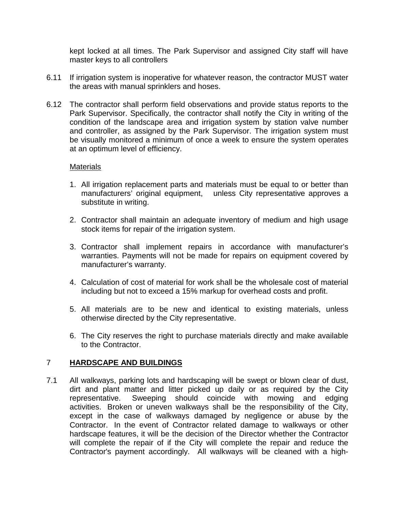kept locked at all times. The Park Supervisor and assigned City staff will have master keys to all controllers

- 6.11 If irrigation system is inoperative for whatever reason, the contractor MUST water the areas with manual sprinklers and hoses.
- 6.12 The contractor shall perform field observations and provide status reports to the Park Supervisor. Specifically, the contractor shall notify the City in writing of the condition of the landscape area and irrigation system by station valve number and controller, as assigned by the Park Supervisor. The irrigation system must be visually monitored a minimum of once a week to ensure the system operates at an optimum level of efficiency.

## **Materials**

- 1. All irrigation replacement parts and materials must be equal to or better than manufacturers' original equipment, unless City representative approves a substitute in writing.
- 2. Contractor shall maintain an adequate inventory of medium and high usage stock items for repair of the irrigation system.
- 3. Contractor shall implement repairs in accordance with manufacturer's warranties. Payments will not be made for repairs on equipment covered by manufacturer's warranty.
- 4. Calculation of cost of material for work shall be the wholesale cost of material including but not to exceed a 15% markup for overhead costs and profit.
- 5. All materials are to be new and identical to existing materials, unless otherwise directed by the City representative.
- 6. The City reserves the right to purchase materials directly and make available to the Contractor.

#### 7 **HARDSCAPE AND BUILDINGS**

7.1 All walkways, parking lots and hardscaping will be swept or blown clear of dust, dirt and plant matter and litter picked up daily or as required by the City representative. Sweeping should coincide with mowing and edging activities. Broken or uneven walkways shall be the responsibility of the City, except in the case of walkways damaged by negligence or abuse by the Contractor. In the event of Contractor related damage to walkways or other hardscape features, it will be the decision of the Director whether the Contractor will complete the repair of if the City will complete the repair and reduce the Contractor's payment accordingly. All walkways will be cleaned with a high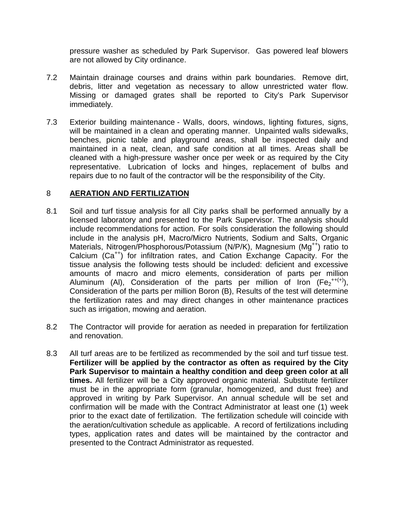pressure washer as scheduled by Park Supervisor. Gas powered leaf blowers are not allowed by City ordinance.

- 7.2 Maintain drainage courses and drains within park boundaries. Remove dirt, debris, litter and vegetation as necessary to allow unrestricted water flow. Missing or damaged grates shall be reported to City's Park Supervisor immediately.
- 7.3 Exterior building maintenance Walls, doors, windows, lighting fixtures, signs, will be maintained in a clean and operating manner. Unpainted walls sidewalks, benches, picnic table and playground areas, shall be inspected daily and maintained in a neat, clean, and safe condition at all times. Areas shall be cleaned with a high-pressure washer once per week or as required by the City representative. Lubrication of locks and hinges, replacement of bulbs and repairs due to no fault of the contractor will be the responsibility of the City.

## 8 **AERATION AND FERTILIZATION**

- 8.1 Soil and turf tissue analysis for all City parks shall be performed annually by a licensed laboratory and presented to the Park Supervisor. The analysis should include recommendations for action. For soils consideration the following should include in the analysis pH, Macro/Micro Nutrients, Sodium and Salts, Organic Materials, Nitrogen/Phosphorous/Potassium (N/P/K), Magnesium (Mg<sup>++</sup>) ratio to Calcium (Ca<sup>++</sup>) for infiltration rates, and Cation Exchange Capacity. For the tissue analysis the following tests should be included: deficient and excessive amounts of macro and micro elements, consideration of parts per million Aluminum (Al), Consideration of the parts per million of Iron  $(Fe_2^{++(+)})$ , Consideration of the parts per million Boron (B), Results of the test will determine the fertilization rates and may direct changes in other maintenance practices such as irrigation, mowing and aeration.
- 8.2 The Contractor will provide for aeration as needed in preparation for fertilization and renovation.
- 8.3 All turf areas are to be fertilized as recommended by the soil and turf tissue test. **Fertilizer will be applied by the contractor as often as required by the City Park Supervisor to maintain a healthy condition and deep green color at all times.** All fertilizer will be a City approved organic material. Substitute fertilizer must be in the appropriate form (granular, homogenized, and dust free) and approved in writing by Park Supervisor. An annual schedule will be set and confirmation will be made with the Contract Administrator at least one (1) week prior to the exact date of fertilization. The fertilization schedule will coincide with the aeration/cultivation schedule as applicable. A record of fertilizations including types, application rates and dates will be maintained by the contractor and presented to the Contract Administrator as requested.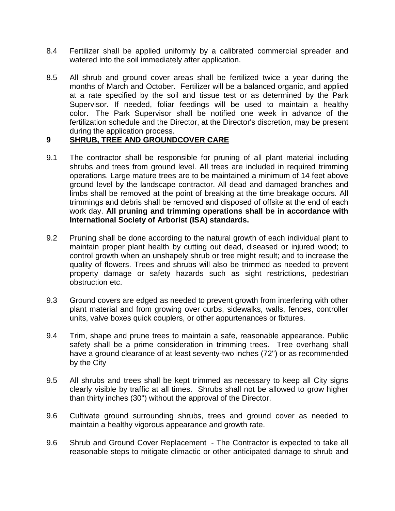- 8.4 Fertilizer shall be applied uniformly by a calibrated commercial spreader and watered into the soil immediately after application.
- 8.5 All shrub and ground cover areas shall be fertilized twice a year during the months of March and October. Fertilizer will be a balanced organic, and applied at a rate specified by the soil and tissue test or as determined by the Park Supervisor. If needed, foliar feedings will be used to maintain a healthy color. The Park Supervisor shall be notified one week in advance of the fertilization schedule and the Director, at the Director's discretion, may be present during the application process.

# **9 SHRUB, TREE AND GROUNDCOVER CARE**

- 9.1 The contractor shall be responsible for pruning of all plant material including shrubs and trees from ground level. All trees are included in required trimming operations. Large mature trees are to be maintained a minimum of 14 feet above ground level by the landscape contractor. All dead and damaged branches and limbs shall be removed at the point of breaking at the time breakage occurs. All trimmings and debris shall be removed and disposed of offsite at the end of each work day. **All pruning and trimming operations shall be in accordance with International Society of Arborist (ISA) standards.**
- 9.2 Pruning shall be done according to the natural growth of each individual plant to maintain proper plant health by cutting out dead, diseased or injured wood; to control growth when an unshapely shrub or tree might result; and to increase the quality of flowers. Trees and shrubs will also be trimmed as needed to prevent property damage or safety hazards such as sight restrictions, pedestrian obstruction etc.
- 9.3 Ground covers are edged as needed to prevent growth from interfering with other plant material and from growing over curbs, sidewalks, walls, fences, controller units, valve boxes quick couplers, or other appurtenances or fixtures.
- 9.4 Trim, shape and prune trees to maintain a safe, reasonable appearance. Public safety shall be a prime consideration in trimming trees. Tree overhang shall have a ground clearance of at least seventy-two inches (72") or as recommended by the City
- 9.5 All shrubs and trees shall be kept trimmed as necessary to keep all City signs clearly visible by traffic at all times. Shrubs shall not be allowed to grow higher than thirty inches (30") without the approval of the Director.
- 9.6 Cultivate ground surrounding shrubs, trees and ground cover as needed to maintain a healthy vigorous appearance and growth rate.
- 9.6 Shrub and Ground Cover Replacement The Contractor is expected to take all reasonable steps to mitigate climactic or other anticipated damage to shrub and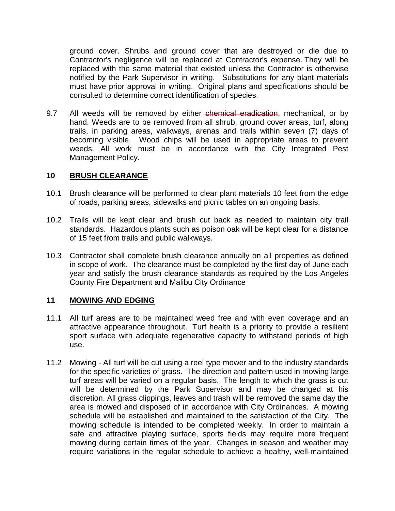ground cover. Shrubs and ground cover that are destroyed or die due to Contractor's negligence will be replaced at Contractor's expense. They will be replaced with the same material that existed unless the Contractor is otherwise notified by the Park Supervisor in writing. Substitutions for any plant materials must have prior approval in writing. Original plans and specifications should be consulted to determine correct identification of species.

9.7 All weeds will be removed by either chemical eradication, mechanical, or by hand. Weeds are to be removed from all shrub, ground cover areas, turf, along trails, in parking areas, walkways, arenas and trails within seven (7) days of becoming visible. Wood chips will be used in appropriate areas to prevent weeds. All work must be in accordance with the City Integrated Pest Management Policy.

## **10 BRUSH CLEARANCE**

- 10.1 Brush clearance will be performed to clear plant materials 10 feet from the edge of roads, parking areas, sidewalks and picnic tables on an ongoing basis.
- 10.2 Trails will be kept clear and brush cut back as needed to maintain city trail standards. Hazardous plants such as poison oak will be kept clear for a distance of 15 feet from trails and public walkways.
- 10.3 Contractor shall complete brush clearance annually on all properties as defined in scope of work. The clearance must be completed by the first day of June each year and satisfy the brush clearance standards as required by the Los Angeles County Fire Department and Malibu City Ordinance

#### **11 MOWING AND EDGING**

- 11.1 All turf areas are to be maintained weed free and with even coverage and an attractive appearance throughout. Turf health is a priority to provide a resilient sport surface with adequate regenerative capacity to withstand periods of high use.
- 11.2 Mowing All turf will be cut using a reel type mower and to the industry standards for the specific varieties of grass. The direction and pattern used in mowing large turf areas will be varied on a regular basis. The length to which the grass is cut will be determined by the Park Supervisor and may be changed at his discretion. All grass clippings, leaves and trash will be removed the same day the area is mowed and disposed of in accordance with City Ordinances. A mowing schedule will be established and maintained to the satisfaction of the City. The mowing schedule is intended to be completed weekly. In order to maintain a safe and attractive playing surface, sports fields may require more frequent mowing during certain times of the year. Changes in season and weather may require variations in the regular schedule to achieve a healthy, well-maintained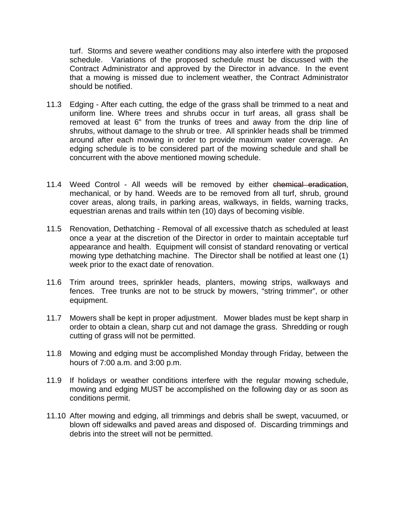turf. Storms and severe weather conditions may also interfere with the proposed schedule. Variations of the proposed schedule must be discussed with the Contract Administrator and approved by the Director in advance. In the event that a mowing is missed due to inclement weather, the Contract Administrator should be notified.

- 11.3 Edging After each cutting, the edge of the grass shall be trimmed to a neat and uniform line. Where trees and shrubs occur in turf areas, all grass shall be removed at least 6" from the trunks of trees and away from the drip line of shrubs, without damage to the shrub or tree. All sprinkler heads shall be trimmed around after each mowing in order to provide maximum water coverage. An edging schedule is to be considered part of the mowing schedule and shall be concurrent with the above mentioned mowing schedule.
- 11.4 Weed Control All weeds will be removed by either chemical eradication, mechanical, or by hand. Weeds are to be removed from all turf, shrub, ground cover areas, along trails, in parking areas, walkways, in fields, warning tracks, equestrian arenas and trails within ten (10) days of becoming visible.
- 11.5 Renovation, Dethatching Removal of all excessive thatch as scheduled at least once a year at the discretion of the Director in order to maintain acceptable turf appearance and health. Equipment will consist of standard renovating or vertical mowing type dethatching machine. The Director shall be notified at least one (1) week prior to the exact date of renovation.
- 11.6 Trim around trees, sprinkler heads, planters, mowing strips, walkways and fences. Tree trunks are not to be struck by mowers, "string trimmer", or other equipment.
- 11.7 Mowers shall be kept in proper adjustment. Mower blades must be kept sharp in order to obtain a clean, sharp cut and not damage the grass. Shredding or rough cutting of grass will not be permitted.
- 11.8 Mowing and edging must be accomplished Monday through Friday, between the hours of 7:00 a.m. and 3:00 p.m.
- 11.9 If holidays or weather conditions interfere with the regular mowing schedule, mowing and edging MUST be accomplished on the following day or as soon as conditions permit.
- 11.10 After mowing and edging, all trimmings and debris shall be swept, vacuumed, or blown off sidewalks and paved areas and disposed of. Discarding trimmings and debris into the street will not be permitted.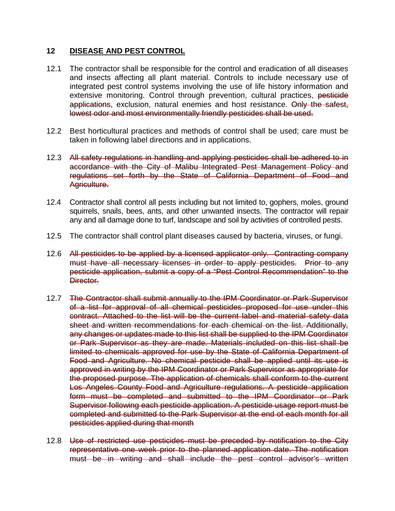## **12 DISEASE AND PEST CONTROL**

- 12.1 The contractor shall be responsible for the control and eradication of all diseases and insects affecting all plant material. Controls to include necessary use of integrated pest control systems involving the use of life history information and extensive monitoring. Control through prevention, cultural practices, pesticide applications, exclusion, natural enemies and host resistance. Only the safest, lowest odor and most environmentally friendly pesticides shall be used.
- 12.2 Best horticultural practices and methods of control shall be used; care must be taken in following label directions and in applications.
- 12.3 All safety regulations in handling and applying pesticides shall be adhered to in accordance with the City of Malibu Integrated Pest Management Policy and regulations set forth by the State of California Department of Food and Agriculture.
- 12.4 Contractor shall control all pests including but not limited to, gophers, moles, ground squirrels, snails, bees, ants, and other unwanted insects. The contractor will repair any and all damage done to turf, landscape and soil by activities of controlled pests.
- 12.5 The contractor shall control plant diseases caused by bacteria, viruses, or fungi.
- 12.6 All pesticides to be applied by a licensed applicator only. Contracting company must have all necessary licenses in order to apply pesticides. Prior to any pesticide application, submit a copy of a "Pest Control Recommendation" to the Director.
- 12.7 The Contractor shall submit annually to the IPM Coordinator or Park Supervisor of a list for approval of all chemical pesticides proposed for use under this contract. Attached to the list will be the current label and material safety data sheet and written recommendations for each chemical on the list. Additionally, any changes or updates made to this list shall be supplied to the IPM Coordinator or Park Supervisor as they are made. Materials included on this list shall be limited to chemicals approved for use by the State of California Department of Food and Agriculture. No chemical pesticide shall be applied until its use is approved in writing by the IPM Coordinator or Park Supervisor as appropriate for the proposed purpose. The application of chemicals shall conform to the current Los Angeles County Food and Agriculture regulations. A pesticide application form must be completed and submitted to the IPM Coordinator or Park Supervisor following each pesticide application. A pesticide usage report must be completed and submitted to the Park Supervisor at the end of each month for all pesticides applied during that month
- 12.8 Use of restricted use pesticides must be preceded by notification to the City representative one week prior to the planned application date. The notification must be in writing and shall include the pest control advisor's written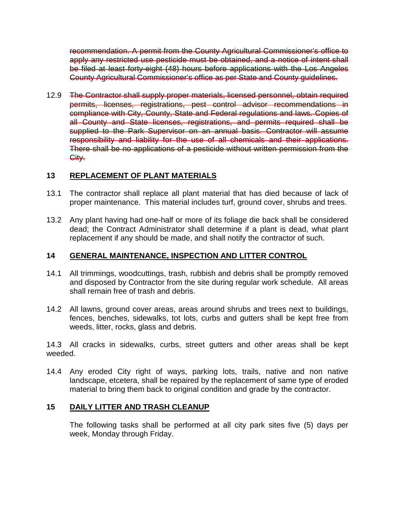recommendation. A permit from the County Agricultural Commissioner's office to apply any restricted use pesticide must be obtained, and a notice of intent shall be filed at least forty-eight (48) hours before applications with the Los Angeles County Agricultural Commissioner's office as per State and County guidelines.

12.9 The Contractor shall supply proper materials, licensed personnel, obtain required permits, licenses, registrations, pest control advisor recommendations in compliance with City, County, State and Federal regulations and laws. Copies of all County and State licenses, registrations, and permits required shall be supplied to the Park Supervisor on an annual basis. Contractor will assume responsibility and liability for the use of all chemicals and their applications. There shall be no applications of a pesticide without written permission from the City.

# **13 REPLACEMENT OF PLANT MATERIALS**

- 13.1 The contractor shall replace all plant material that has died because of lack of proper maintenance. This material includes turf, ground cover, shrubs and trees.
- 13.2 Any plant having had one-half or more of its foliage die back shall be considered dead; the Contract Administrator shall determine if a plant is dead, what plant replacement if any should be made, and shall notify the contractor of such.

## **14 GENERAL MAINTENANCE, INSPECTION AND LITTER CONTROL**

- 14.1 All trimmings, woodcuttings, trash, rubbish and debris shall be promptly removed and disposed by Contractor from the site during regular work schedule. All areas shall remain free of trash and debris.
- 14.2 All lawns, ground cover areas, areas around shrubs and trees next to buildings, fences, benches, sidewalks, tot lots, curbs and gutters shall be kept free from weeds, litter, rocks, glass and debris.

14.3 All cracks in sidewalks, curbs, street gutters and other areas shall be kept weeded.

14.4 Any eroded City right of ways, parking lots, trails, native and non native landscape, etcetera, shall be repaired by the replacement of same type of eroded material to bring them back to original condition and grade by the contractor.

## **15 DAILY LITTER AND TRASH CLEANUP**

The following tasks shall be performed at all city park sites five (5) days per week, Monday through Friday.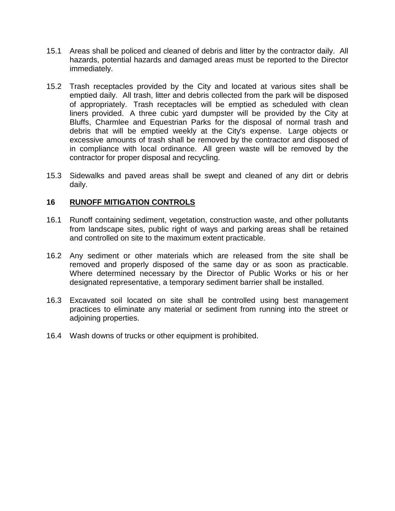- 15.1 Areas shall be policed and cleaned of debris and litter by the contractor daily. All hazards, potential hazards and damaged areas must be reported to the Director immediately.
- 15.2 Trash receptacles provided by the City and located at various sites shall be emptied daily. All trash, litter and debris collected from the park will be disposed of appropriately. Trash receptacles will be emptied as scheduled with clean liners provided. A three cubic yard dumpster will be provided by the City at Bluffs, Charmlee and Equestrian Parks for the disposal of normal trash and debris that will be emptied weekly at the City's expense. Large objects or excessive amounts of trash shall be removed by the contractor and disposed of in compliance with local ordinance. All green waste will be removed by the contractor for proper disposal and recycling.
- 15.3 Sidewalks and paved areas shall be swept and cleaned of any dirt or debris daily.

## **16 RUNOFF MITIGATION CONTROLS**

- 16.1 Runoff containing sediment, vegetation, construction waste, and other pollutants from landscape sites, public right of ways and parking areas shall be retained and controlled on site to the maximum extent practicable.
- 16.2 Any sediment or other materials which are released from the site shall be removed and properly disposed of the same day or as soon as practicable. Where determined necessary by the Director of Public Works or his or her designated representative, a temporary sediment barrier shall be installed.
- 16.3 Excavated soil located on site shall be controlled using best management practices to eliminate any material or sediment from running into the street or adjoining properties.
- 16.4 Wash downs of trucks or other equipment is prohibited.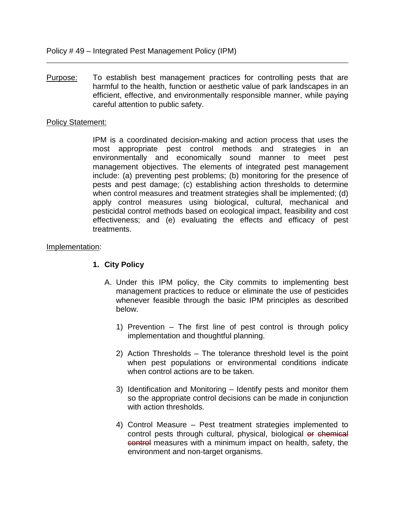Purpose: To establish best management practices for controlling pests that are harmful to the health, function or aesthetic value of park landscapes in an efficient, effective, and environmentally responsible manner, while paying careful attention to public safety.

\_\_\_\_\_\_\_\_\_\_\_\_\_\_\_\_\_\_\_\_\_\_\_\_\_\_\_\_\_\_\_\_\_\_\_\_\_\_\_\_\_\_\_\_\_\_\_\_\_\_\_\_\_\_\_\_\_\_\_\_\_\_\_\_\_\_\_\_\_\_\_\_\_\_\_\_\_\_

## Policy Statement:

IPM is a coordinated decision-making and action process that uses the most appropriate pest control methods and strategies in an environmentally and economically sound manner to meet pest management objectives. The elements of integrated pest management include: (a) preventing pest problems; (b) monitoring for the presence of pests and pest damage; (c) establishing action thresholds to determine when control measures and treatment strategies shall be implemented; (d) apply control measures using biological, cultural, mechanical and pesticidal control methods based on ecological impact, feasibility and cost effectiveness; and (e) evaluating the effects and efficacy of pest treatments.

## Implementation:

## **1. City Policy**

- A. Under this IPM policy, the City commits to implementing best management practices to reduce or eliminate the use of pesticides whenever feasible through the basic IPM principles as described below.
	- 1) Prevention The first line of pest control is through policy implementation and thoughtful planning.
	- 2) Action Thresholds The tolerance threshold level is the point when pest populations or environmental conditions indicate when control actions are to be taken.
	- 3) Identification and Monitoring Identify pests and monitor them so the appropriate control decisions can be made in conjunction with action thresholds.
	- 4) Control Measure Pest treatment strategies implemented to control pests through cultural, physical, biological or chemical control measures with a minimum impact on health, safety, the environment and non-target organisms.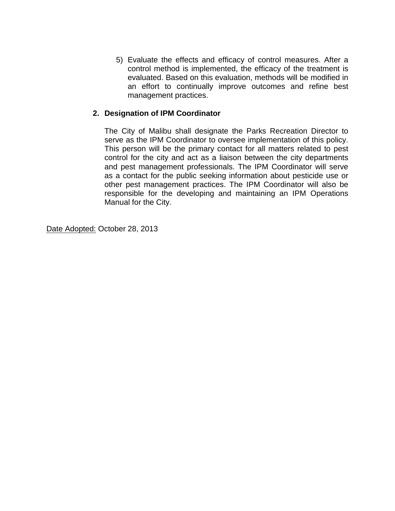5) Evaluate the effects and efficacy of control measures. After a control method is implemented, the efficacy of the treatment is evaluated. Based on this evaluation, methods will be modified in an effort to continually improve outcomes and refine best management practices.

# **2. Designation of IPM Coordinator**

The City of Malibu shall designate the Parks Recreation Director to serve as the IPM Coordinator to oversee implementation of this policy. This person will be the primary contact for all matters related to pest control for the city and act as a liaison between the city departments and pest management professionals. The IPM Coordinator will serve as a contact for the public seeking information about pesticide use or other pest management practices. The IPM Coordinator will also be responsible for the developing and maintaining an IPM Operations Manual for the City.

Date Adopted: October 28, 2013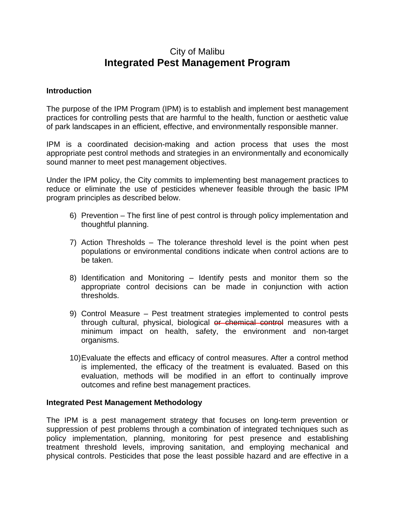# City of Malibu **Integrated Pest Management Program**

## **Introduction**

The purpose of the IPM Program (IPM) is to establish and implement best management practices for controlling pests that are harmful to the health, function or aesthetic value of park landscapes in an efficient, effective, and environmentally responsible manner.

IPM is a coordinated decision-making and action process that uses the most appropriate pest control methods and strategies in an environmentally and economically sound manner to meet pest management objectives.

Under the IPM policy, the City commits to implementing best management practices to reduce or eliminate the use of pesticides whenever feasible through the basic IPM program principles as described below.

- 6) Prevention The first line of pest control is through policy implementation and thoughtful planning.
- 7) Action Thresholds The tolerance threshold level is the point when pest populations or environmental conditions indicate when control actions are to be taken.
- 8) Identification and Monitoring Identify pests and monitor them so the appropriate control decisions can be made in conjunction with action thresholds.
- 9) Control Measure Pest treatment strategies implemented to control pests through cultural, physical, biological or chemical control measures with a minimum impact on health, safety, the environment and non-target organisms.
- 10)Evaluate the effects and efficacy of control measures. After a control method is implemented, the efficacy of the treatment is evaluated. Based on this evaluation, methods will be modified in an effort to continually improve outcomes and refine best management practices.

#### **Integrated Pest Management Methodology**

The IPM is a pest management strategy that focuses on long-term prevention or suppression of pest problems through a combination of integrated techniques such as policy implementation, planning, monitoring for pest presence and establishing treatment threshold levels, improving sanitation, and employing mechanical and physical controls. Pesticides that pose the least possible hazard and are effective in a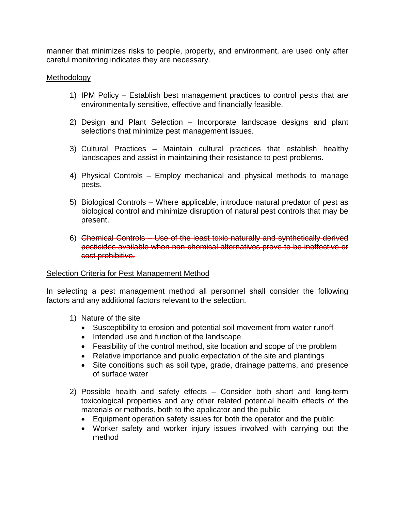manner that minimizes risks to people, property, and environment, are used only after careful monitoring indicates they are necessary.

## **Methodology**

- 1) IPM Policy Establish best management practices to control pests that are environmentally sensitive, effective and financially feasible.
- 2) Design and Plant Selection Incorporate landscape designs and plant selections that minimize pest management issues.
- 3) Cultural Practices Maintain cultural practices that establish healthy landscapes and assist in maintaining their resistance to pest problems.
- 4) Physical Controls Employ mechanical and physical methods to manage pests.
- 5) Biological Controls Where applicable, introduce natural predator of pest as biological control and minimize disruption of natural pest controls that may be present.
- 6) Chemical Controls Use of the least toxic naturally and synthetically derived pesticides available when non-chemical alternatives prove to be ineffective or cost prohibitive.

#### Selection Criteria for Pest Management Method

In selecting a pest management method all personnel shall consider the following factors and any additional factors relevant to the selection.

- 1) Nature of the site
	- Susceptibility to erosion and potential soil movement from water runoff
	- Intended use and function of the landscape
	- Feasibility of the control method, site location and scope of the problem
	- Relative importance and public expectation of the site and plantings
	- Site conditions such as soil type, grade, drainage patterns, and presence of surface water
- 2) Possible health and safety effects Consider both short and long-term toxicological properties and any other related potential health effects of the materials or methods, both to the applicator and the public
	- Equipment operation safety issues for both the operator and the public
	- Worker safety and worker injury issues involved with carrying out the method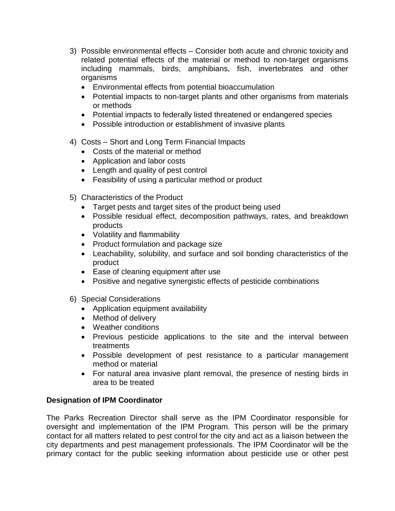- 3) Possible environmental effects Consider both acute and chronic toxicity and related potential effects of the material or method to non-target organisms including mammals, birds, amphibians, fish, invertebrates and other organisms
	- Environmental effects from potential bioaccumulation
	- Potential impacts to non-target plants and other organisms from materials or methods
	- Potential impacts to federally listed threatened or endangered species
	- Possible introduction or establishment of invasive plants
- 4) Costs Short and Long Term Financial Impacts
	- Costs of the material or method
	- Application and labor costs
	- Length and quality of pest control
	- Feasibility of using a particular method or product
- 5) Characteristics of the Product
	- Target pests and target sites of the product being used
	- Possible residual effect, decomposition pathways, rates, and breakdown products
	- Volatility and flammability
	- Product formulation and package size
	- Leachability, solubility, and surface and soil bonding characteristics of the product
	- Ease of cleaning equipment after use
	- Positive and negative synergistic effects of pesticide combinations
- 6) Special Considerations
	- Application equipment availability
	- Method of delivery
	- Weather conditions
	- Previous pesticide applications to the site and the interval between treatments
	- Possible development of pest resistance to a particular management method or material
	- For natural area invasive plant removal, the presence of nesting birds in area to be treated

## **Designation of IPM Coordinator**

The Parks Recreation Director shall serve as the IPM Coordinator responsible for oversight and implementation of the IPM Program. This person will be the primary contact for all matters related to pest control for the city and act as a liaison between the city departments and pest management professionals. The IPM Coordinator will be the primary contact for the public seeking information about pesticide use or other pest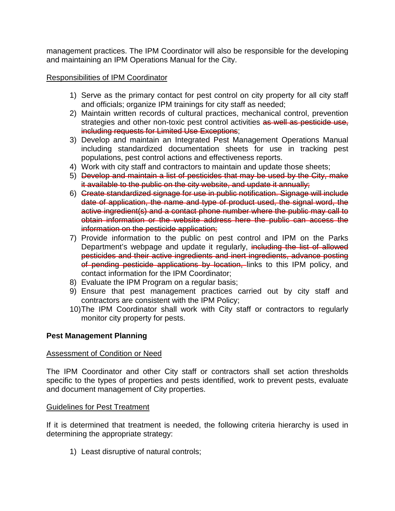management practices. The IPM Coordinator will also be responsible for the developing and maintaining an IPM Operations Manual for the City.

# Responsibilities of IPM Coordinator

- 1) Serve as the primary contact for pest control on city property for all city staff and officials; organize IPM trainings for city staff as needed;
- 2) Maintain written records of cultural practices, mechanical control, prevention strategies and other non-toxic pest control activities as well as pesticide use, including requests for Limited Use Exceptions;
- 3) Develop and maintain an Integrated Pest Management Operations Manual including standardized documentation sheets for use in tracking pest populations, pest control actions and effectiveness reports.
- 4) Work with city staff and contractors to maintain and update those sheets;
- 5) Develop and maintain a list of pesticides that may be used by the City, make it available to the public on the city website, and update it annually;
- 6) Create standardized signage for use in public notification. Signage will include date of application, the name and type of product used, the signal word, the active ingredient(s) and a contact phone number where the public may call to obtain information or the website address here the public can access the information on the pesticide application;
- 7) Provide information to the public on pest control and IPM on the Parks Department's webpage and update it regularly, including the list of allowed pesticides and their active ingredients and inert ingredients, advance posting of pending pesticide applications by location, links to this IPM policy, and contact information for the IPM Coordinator;
- 8) Evaluate the IPM Program on a regular basis;
- 9) Ensure that pest management practices carried out by city staff and contractors are consistent with the IPM Policy;
- 10)The IPM Coordinator shall work with City staff or contractors to regularly monitor city property for pests.

## **Pest Management Planning**

## Assessment of Condition or Need

The IPM Coordinator and other City staff or contractors shall set action thresholds specific to the types of properties and pests identified, work to prevent pests, evaluate and document management of City properties.

## Guidelines for Pest Treatment

If it is determined that treatment is needed, the following criteria hierarchy is used in determining the appropriate strategy:

1) Least disruptive of natural controls;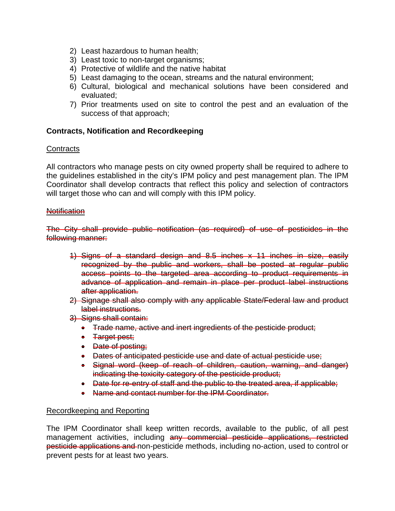- 2) Least hazardous to human health;
- 3) Least toxic to non-target organisms;
- 4) Protective of wildlife and the native habitat
- 5) Least damaging to the ocean, streams and the natural environment;
- 6) Cultural, biological and mechanical solutions have been considered and evaluated;
- 7) Prior treatments used on site to control the pest and an evaluation of the success of that approach;

#### **Contracts, Notification and Recordkeeping**

#### **Contracts**

All contractors who manage pests on city owned property shall be required to adhere to the guidelines established in the city's IPM policy and pest management plan. The IPM Coordinator shall develop contracts that reflect this policy and selection of contractors will target those who can and will comply with this IPM policy.

#### **Notification**

The City shall provide public notification (as required) of use of pesticides in the following manner:

- 1) Signs of a standard design and 8.5 inches x 11 inches in size, easily recognized by the public and workers, shall be posted at regular public access points to the targeted area according to product requirements in advance of application and remain in place per product label instructions after application.
- 2) Signage shall also comply with any applicable State/Federal law and product label instructions.
- 3) Signs shall contain:
	- Trade name, active and inert ingredients of the pesticide product;
	- Target pest;
	- Date of posting;
	- Dates of anticipated pesticide use and date of actual pesticide use;
	- Signal word (keep of reach of children, caution, warning, and danger) indicating the toxicity category of the pesticide product;
	- Date for re-entry of staff and the public to the treated area, if applicable;
	- Name and contact number for the IPM Coordinator.

#### Recordkeeping and Reporting

The IPM Coordinator shall keep written records, available to the public, of all pest management activities, including any commercial pesticide applications, restricted pesticide applications and non-pesticide methods, including no-action, used to control or prevent pests for at least two years.